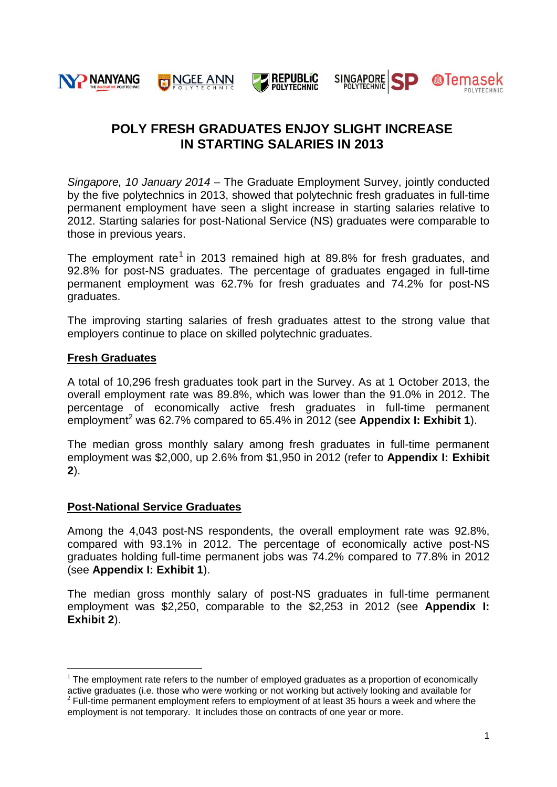

# **POLY FRESH GRADUATES ENJOY SLIGHT INCREASE IN STARTING SALARIES IN 2013**

SP

**@Temasek** 

*Singapore, 10 January 2014* – The Graduate Employment Survey, jointly conducted by the five polytechnics in 2013, showed that polytechnic fresh graduates in full-time permanent employment have seen a slight increase in starting salaries relative to 2012. Starting salaries for post-National Service (NS) graduates were comparable to those in previous years.

The employment rate<sup>1</sup> in 2013 remained high at 89.8% for fresh graduates, and 92.8% for post-NS graduates. The percentage of graduates engaged in full-time permanent employment was 62.7% for fresh graduates and 74.2% for post-NS graduates.

The improving starting salaries of fresh graduates attest to the strong value that employers continue to place on skilled polytechnic graduates.

# **Fresh Graduates**

1

A total of 10,296 fresh graduates took part in the Survey. As at 1 October 2013, the overall employment rate was 89.8%, which was lower than the 91.0% in 2012. The percentage of economically active fresh graduates in full-time permanent employment<sup>2</sup> was 62.7% compared to 65.4% in 2012 (see **Appendix I: Exhibit 1**).

The median gross monthly salary among fresh graduates in full-time permanent employment was \$2,000, up 2.6% from \$1,950 in 2012 (refer to **Appendix I: Exhibit 2**).

# **Post-National Service Graduates**

Among the 4,043 post-NS respondents, the overall employment rate was 92.8%, compared with 93.1% in 2012. The percentage of economically active post-NS graduates holding full-time permanent jobs was 74.2% compared to 77.8% in 2012 (see **Appendix I: Exhibit 1**).

The median gross monthly salary of post-NS graduates in full-time permanent employment was \$2,250, comparable to the \$2,253 in 2012 (see **Appendix I: Exhibit 2**).

 $1$  The employment rate refers to the number of employed graduates as a proportion of economically active graduates (i.e. those who were working or not working but actively looking and available for  $2$  Full-time permanent employment refers to employment of at least 35 hours a week and where the employment is not temporary. It includes those on contracts of one year or more.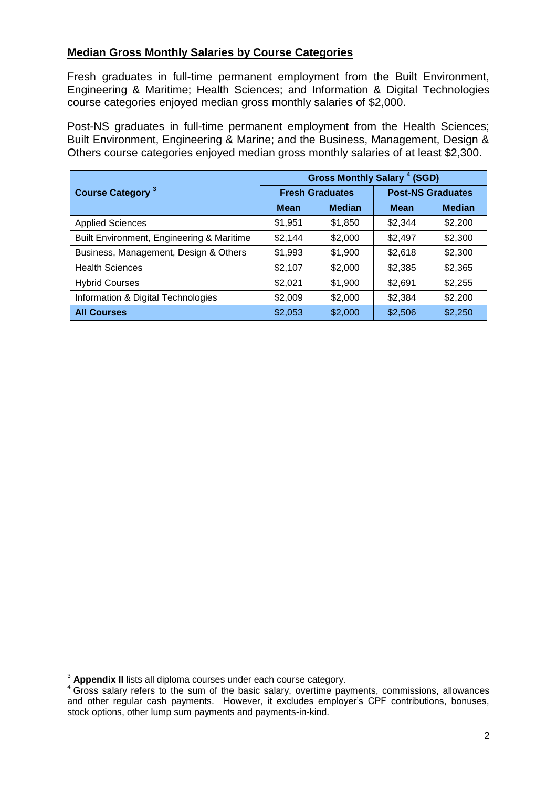# **Median Gross Monthly Salaries by Course Categories**

Fresh graduates in full-time permanent employment from the Built Environment, Engineering & Maritime; Health Sciences; and Information & Digital Technologies course categories enjoyed median gross monthly salaries of \$2,000.

Post-NS graduates in full-time permanent employment from the Health Sciences; Built Environment, Engineering & Marine; and the Business, Management, Design & Others course categories enjoyed median gross monthly salaries of at least \$2,300.

| <b>Course Category 3</b>                  | Gross Monthly Salary <sup>4</sup> (SGD) |               |                          |               |
|-------------------------------------------|-----------------------------------------|---------------|--------------------------|---------------|
|                                           | <b>Fresh Graduates</b>                  |               | <b>Post-NS Graduates</b> |               |
|                                           | <b>Mean</b>                             | <b>Median</b> | <b>Mean</b>              | <b>Median</b> |
| <b>Applied Sciences</b>                   | \$1,951                                 | \$1,850       | \$2,344                  | \$2,200       |
| Built Environment, Engineering & Maritime | \$2,144                                 | \$2,000       | \$2,497                  | \$2,300       |
| Business, Management, Design & Others     | \$1,993                                 | \$1,900       | \$2,618                  | \$2,300       |
| <b>Health Sciences</b>                    | \$2,107                                 | \$2,000       | \$2,385                  | \$2,365       |
| <b>Hybrid Courses</b>                     | \$2,021                                 | \$1,900       | \$2,691                  | \$2,255       |
| Information & Digital Technologies        | \$2,009                                 | \$2,000       | \$2,384                  | \$2,200       |
| <b>All Courses</b>                        | \$2,053                                 | \$2,000       | \$2,506                  | \$2,250       |

<u>.</u>

<sup>3</sup> **Appendix II** lists all diploma courses under each course category.

<sup>4</sup> Gross salary refers to the sum of the basic salary, overtime payments, commissions, allowances and other regular cash payments. However, it excludes employer's CPF contributions, bonuses, stock options, other lump sum payments and payments-in-kind.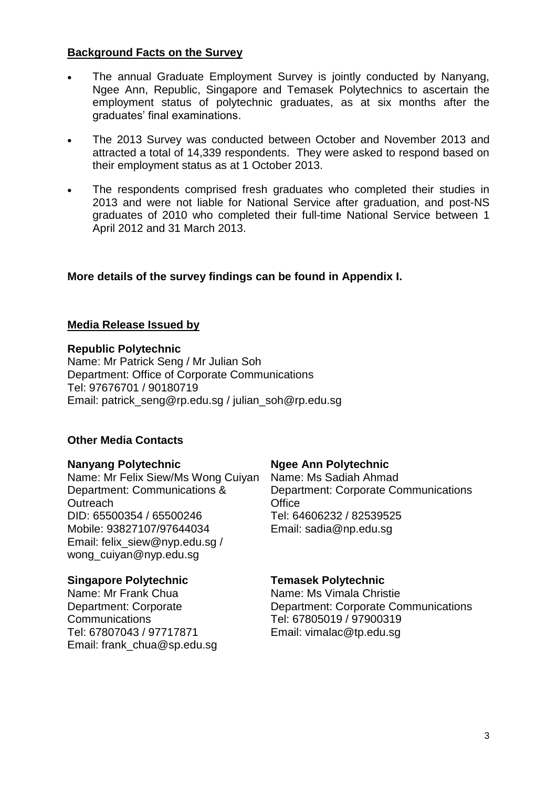# **Background Facts on the Survey**

- The annual Graduate Employment Survey is jointly conducted by Nanyang, Ngee Ann, Republic, Singapore and Temasek Polytechnics to ascertain the employment status of polytechnic graduates, as at six months after the graduates' final examinations.
- The 2013 Survey was conducted between October and November 2013 and attracted a total of 14,339 respondents. They were asked to respond based on their employment status as at 1 October 2013.
- The respondents comprised fresh graduates who completed their studies in 2013 and were not liable for National Service after graduation, and post-NS graduates of 2010 who completed their full-time National Service between 1 April 2012 and 31 March 2013.

# **More details of the survey findings can be found in Appendix I.**

# **Media Release Issued by**

## **Republic Polytechnic**

Name: Mr Patrick Seng / Mr Julian Soh Department: Office of Corporate Communications Tel: 97676701 / 90180719 Email: [patrick\\_seng@rp.edu.sg](mailto:patrick_seng@rp.edu.sg) / julian\_soh@rp.edu.sg

# **Other Media Contacts**

# **Nanyang Polytechnic**

Name: Mr Felix Siew/Ms Wong Cuiyan Department: Communications & **Outreach** DID: 65500354 / 65500246 Mobile: 93827107/97644034 Email: felix\_siew@nyp.edu.sg / wong\_cuiyan@nyp.edu.sg

# **Singapore Polytechnic**

Name: Mr Frank Chua Department: Corporate **Communications** Tel: 67807043 / 97717871 Email: frank\_chua@sp.edu.sg

# **Ngee Ann Polytechnic**

Name: Ms Sadiah Ahmad Department: Corporate Communications **Office** Tel: 64606232 / 82539525 Email: [sadia@np.edu.sg](mailto:sadia@np.edu.sg) 

## **Temasek Polytechnic**

Name: Ms Vimala Christie Department: Corporate Communications Tel: 67805019 / 97900319 Email: [vimalac@tp.edu.sg](mailto:vimalac@tp.edu.sg)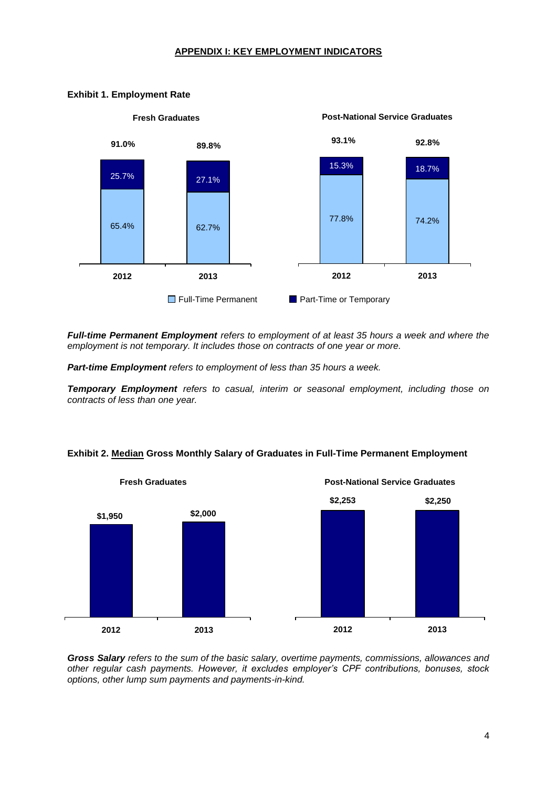### **APPENDIX I: KEY EMPLOYMENT INDICATORS**



### **Exhibit 1. Employment Rate**

*Full-time Permanent Employment refers to employment of at least 35 hours a week and where the employment is not temporary. It includes those on contracts of one year or more.*

*Part-time Employment refers to employment of less than 35 hours a week.* 

*Temporary Employment refers to casual, interim or seasonal employment, including those on contracts of less than one year.*



### **Exhibit 2. Median Gross Monthly Salary of Graduates in Full-Time Permanent Employment**

*Gross Salary refers to the sum of the basic salary, overtime payments, commissions, allowances and other regular cash payments. However, it excludes employer's CPF contributions, bonuses, stock options, other lump sum payments and payments-in-kind.*